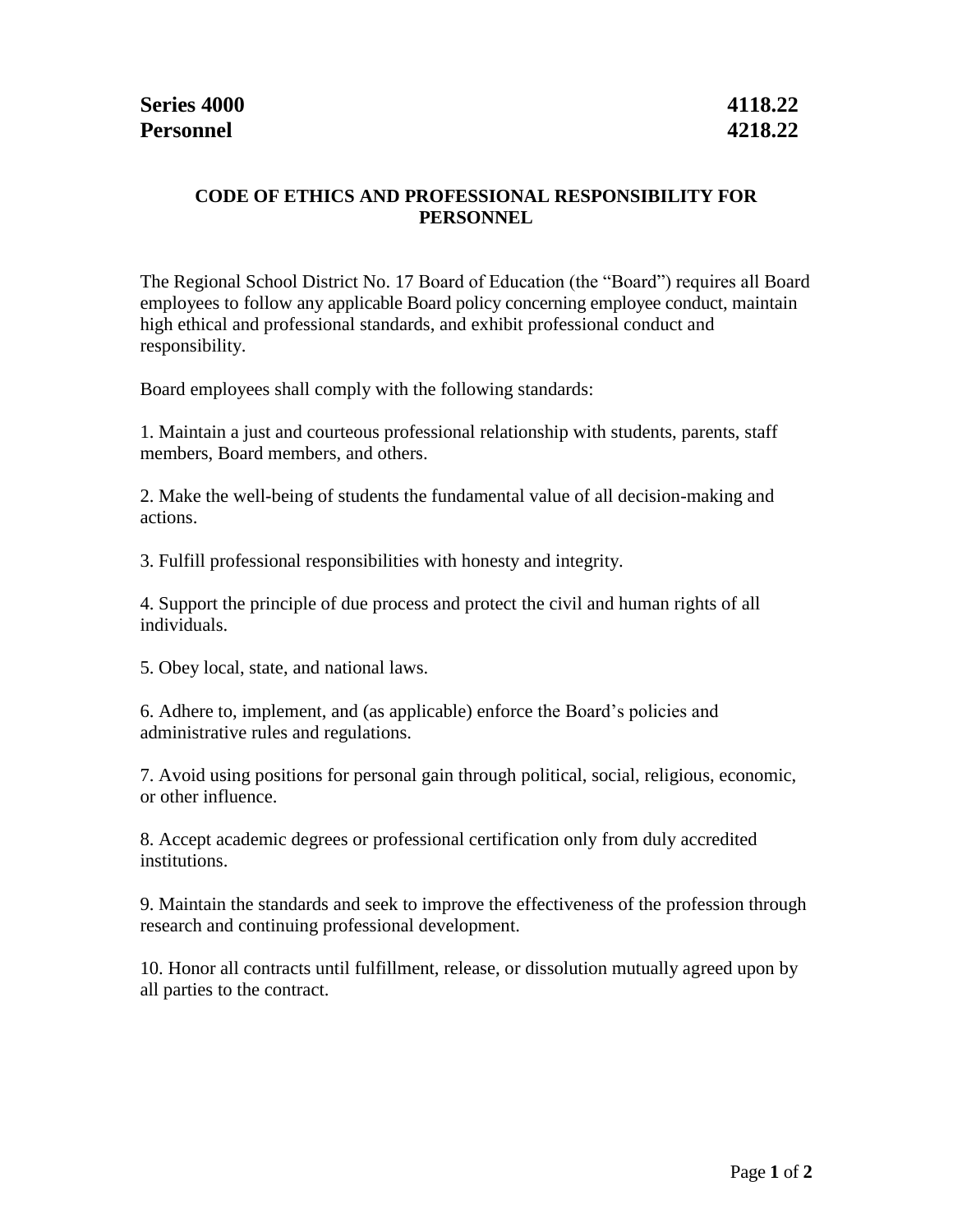## **CODE OF ETHICS AND PROFESSIONAL RESPONSIBILITY FOR PERSONNEL**

The Regional School District No. 17 Board of Education (the "Board") requires all Board employees to follow any applicable Board policy concerning employee conduct, maintain high ethical and professional standards, and exhibit professional conduct and responsibility.

Board employees shall comply with the following standards:

1. Maintain a just and courteous professional relationship with students, parents, staff members, Board members, and others.

2. Make the well-being of students the fundamental value of all decision-making and actions.

3. Fulfill professional responsibilities with honesty and integrity.

4. Support the principle of due process and protect the civil and human rights of all individuals.

5. Obey local, state, and national laws.

6. Adhere to, implement, and (as applicable) enforce the Board's policies and administrative rules and regulations.

7. Avoid using positions for personal gain through political, social, religious, economic, or other influence.

8. Accept academic degrees or professional certification only from duly accredited institutions.

9. Maintain the standards and seek to improve the effectiveness of the profession through research and continuing professional development.

10. Honor all contracts until fulfillment, release, or dissolution mutually agreed upon by all parties to the contract.